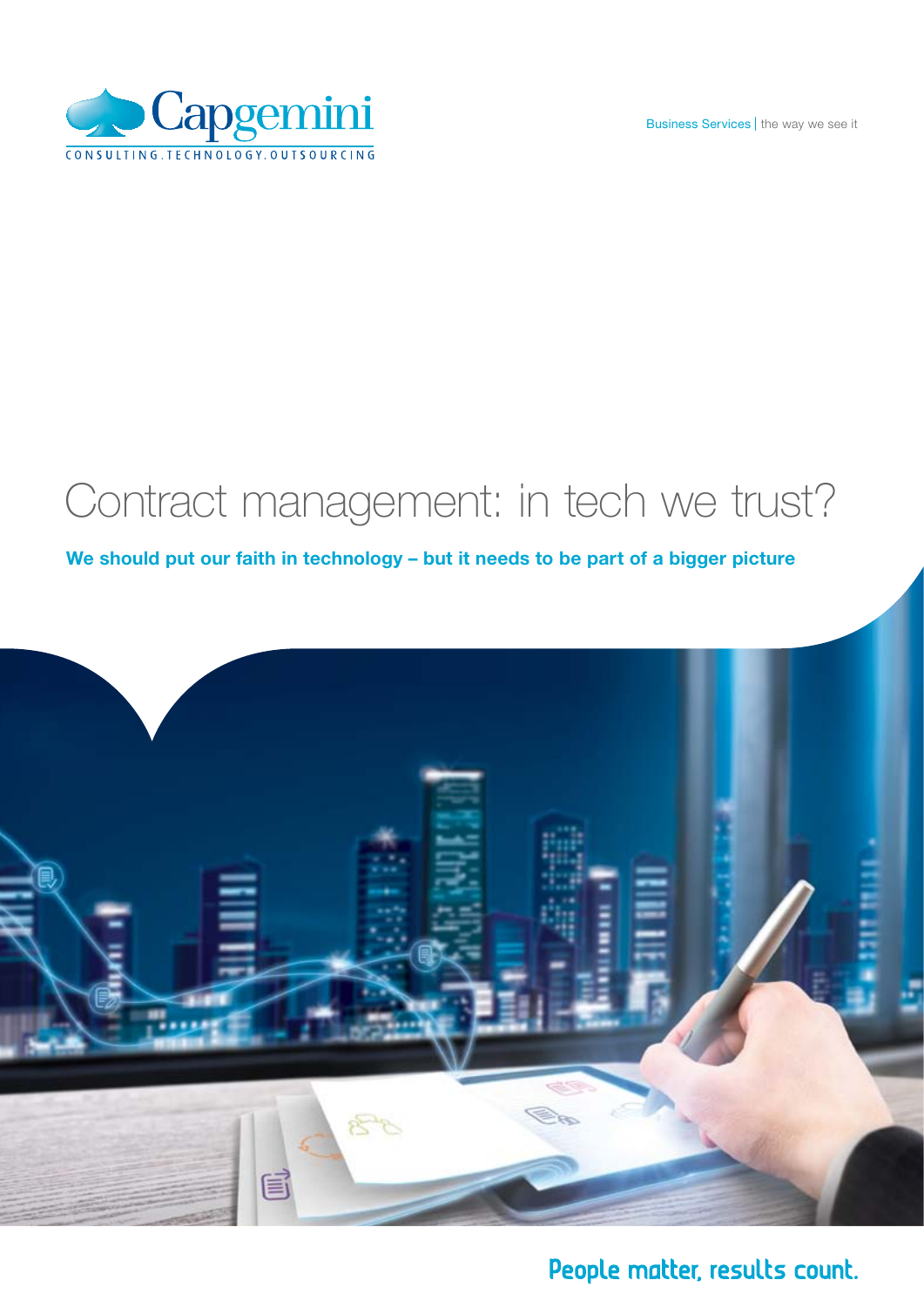Business Services | the way we see it



# Contract management: in tech we trust?

We should put our faith in technology - but it needs to be part of a bigger picture



## People matter, results count.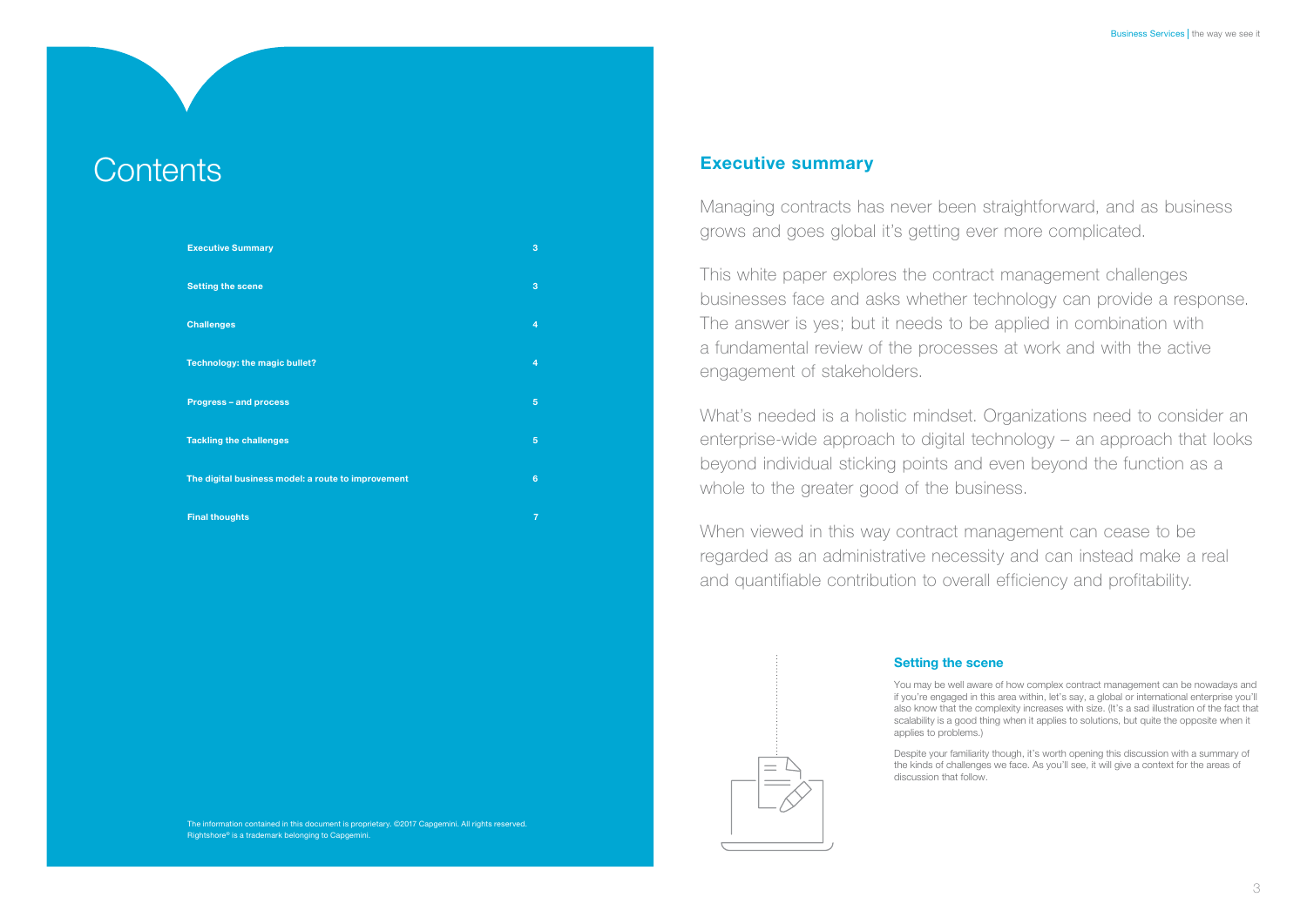The information contained in this document is proprietary. ©2017 Capgemini. All rights reserved. Rightshore® is a trademark belonging to Capgemini.

You may be well aware of how complex contract management can be nowadays and if you're engaged in this area within, let's say, a global or international enterprise you'll also know that the complexity increases with size. (It's a sad illustration of the fact that scalability is a good thing when it applies to solutions, but quite the opposite when it

## Setting the scene

applies to problems.)

Despite your familiarity though, it's worth opening this discussion with a summary of the kinds of challenges we face. As you'll see, it will give a context for the areas of

discussion that follow.

## **Executive summary**

# **Contents**

| <b>Executive Summary</b>                           | 3               |
|----------------------------------------------------|-----------------|
| <b>Setting the scene</b>                           | 3               |
| <b>Challenges</b>                                  | $\overline{4}$  |
| Technology: the magic bullet?                      | $\overline{4}$  |
| <b>Progress - and process</b>                      | 5               |
| <b>Tackling the challenges</b>                     | 5               |
| The digital business model: a route to improvement | $6\phantom{1}6$ |
| <b>Final thoughts</b>                              | 7               |

Managing contracts has never been straightforward, and as business grows and goes global it's getting ever more complicated.

This white paper explores the contract management challenges businesses face and asks whether technology can provide a response. The answer is yes; but it needs to be applied in combination with a fundamental review of the processes at work and with the active engagement of stakeholders.

What's needed is a holistic mindset. Organizations need to consider an enterprise-wide approach to digital technology – an approach that looks beyond individual sticking points and even beyond the function as a whole to the greater good of the business.

When viewed in this way contract management can cease to be regarded as an administrative necessity and can instead make a real and quantifiable contribution to overall efficiency and profitability.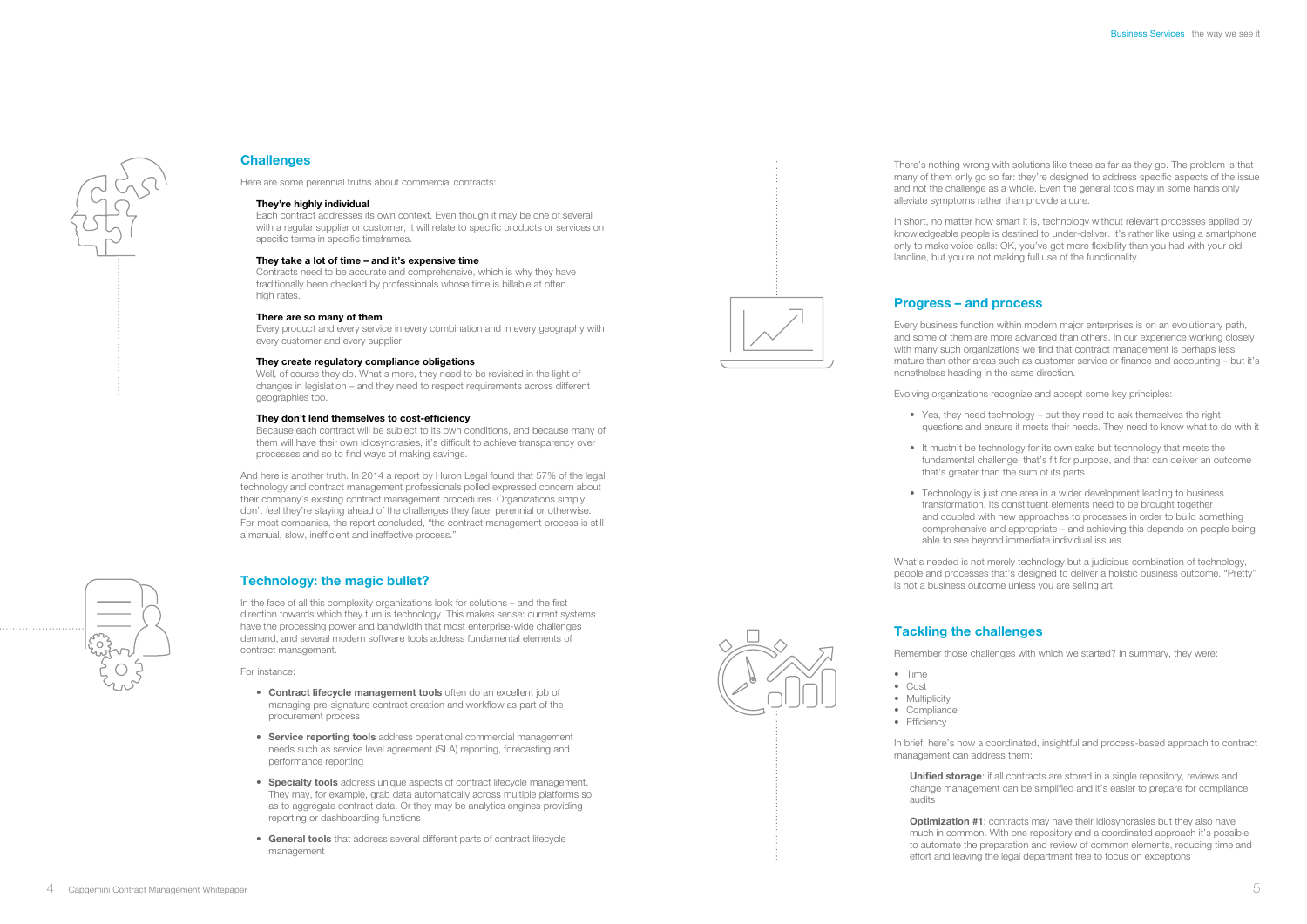



## **Challenges**

There's nothing wrong with solutions like these as far as they go. The problem is that many of them only go so far: they're designed to address specific aspects of the issue and not the challenge as a whole. Even the general tools may in some hands only alleviate symptoms rather than provide a cure.

In short, no matter how smart it is, technology without relevant processes applied by knowledgeable people is destined to under-deliver. It's rather like using a smartphone only to make voice calls: OK, you've got more flexibility than you had with your old landline, but you're not making full use of the functionality.

• Yes, they need technology – but they need to ask themselves the right questions and ensure it meets their needs. They need to know what to do with it

## Progress – and process

• It mustn't be technology for its own sake but technology that meets the fundamental challenge, that's fit for purpose, and that can deliver an outcome that's greater than the sum of its parts

Every business function within modern major enterprises is on an evolutionary path, and some of them are more advanced than others. In our experience working closely with many such organizations we find that contract management is perhaps less mature than other areas such as customer service or finance and accounting – but it's nonetheless heading in the same direction.

• Technology is just one area in a wider development leading to business transformation. Its constituent elements need to be brought together and coupled with new approaches to processes in order to build something comprehensive and appropriate – and achieving this depends on people being able to see beyond immediate individual issues

Evolving organizations recognize and accept some key principles:

- 
- 
- 

Unified storage: if all contracts are stored in a single repository, reviews and change management can be simplified and it's easier to prepare for compliance audits

**Optimization #1:** contracts may have their idiosyncrasies but they also have much in common. With one repository and a coordinated approach it's possible to automate the preparation and review of common elements, reducing time and

Contracts need to be accurate and comprehensive, which is why they have traditionally been checked by professionals whose time is billable at often high rates.

> What's needed is not merely technology but a judicious combination of technology, people and processes that's designed to deliver a holistic business outcome. "Pretty" is not a business outcome unless you are selling art.

## Tackling the challenges

Remember those challenges with which we started? In summary, they were:

- Time
- • Cost
- Multiplicity
- Compliance • Efficiency
- 

And here is another truth. In 2014 a report by Huron Legal found that 57% of the legal technology and contract management professionals polled expressed concern about their company's existing contract management procedures. Organizations simply don't feel they're staying ahead of the challenges they face, perennial or otherwise. For most companies, the report concluded, "the contract management process is still a manual, slow, inefficient and ineffective process."

> In brief, here's how a coordinated, insightful and process-based approach to contract management can address them:

- Contract lifecycle management tools often do an excellent job of managing pre-signature contract creation and workflow as part of the procurement process
- Service reporting tools address operational commercial management needs such as service level agreement (SLA) reporting, forecasting and performance reporting
- Specialty tools address unique aspects of contract lifecycle management. They may, for example, grab data automatically across multiple platforms so as to aggregate contract data. Or they may be analytics engines providing reporting or dashboarding functions
- **General tools** that address several different parts of contract lifecycle management



effort and leaving the legal department free to focus on exceptions

Here are some perennial truths about commercial contracts:

#### They're highly individual

Each contract addresses its own context. Even though it may be one of several with a regular supplier or customer, it will relate to specific products or services on specific terms in specific timeframes.

#### They take a lot of time – and it's expensive time

#### There are so many of them

Every product and every service in every combination and in every geography with every customer and every supplier.

#### They create regulatory compliance obligations

Well, of course they do. What's more, they need to be revisited in the light of changes in legislation – and they need to respect requirements across different geographies too.

#### They don't lend themselves to cost-efficiency

Because each contract will be subject to its own conditions, and because many of them will have their own idiosyncrasies, it's difficult to achieve transparency over processes and so to find ways of making savings.

### Technology: the magic bullet?

In the face of all this complexity organizations look for solutions – and the first direction towards which they turn is technology. This makes sense: current systems have the processing power and bandwidth that most enterprise-wide challenges demand, and several modern software tools address fundamental elements of contract management.

For instance:

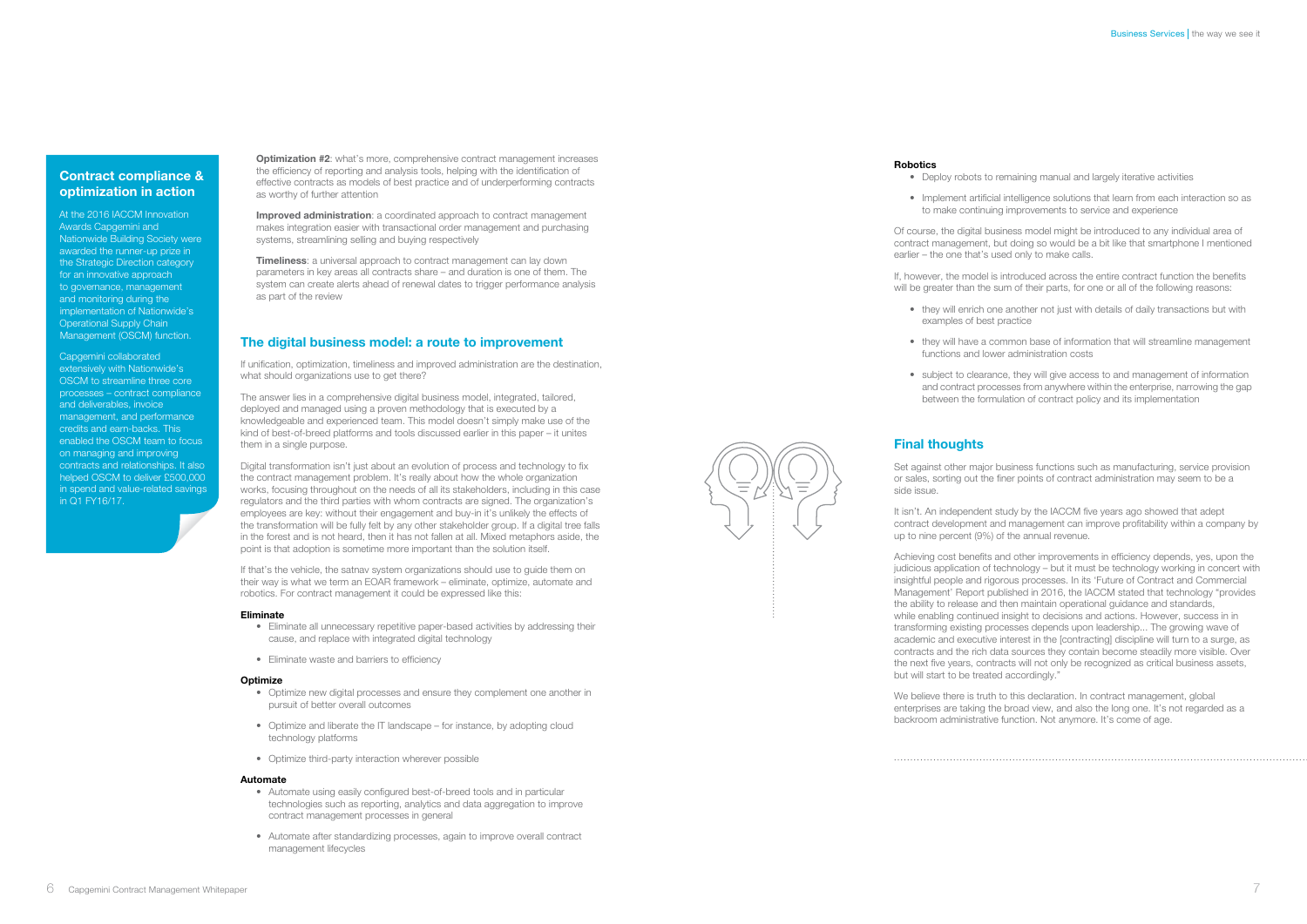**Optimization #2:** what's more, comprehensive contract management increases the efficiency of reporting and analysis tools, helping with the identification of effective contracts as models of best practice and of underperforming contracts as worthy of further attention

Improved administration: a coordinated approach to contract management makes integration easier with transactional order management and purchasing systems, streamlining selling and buying respectively

**Timeliness:** a universal approach to contract management can lay down parameters in key areas all contracts share – and duration is one of them. The system can create alerts ahead of renewal dates to trigger performance analysis as part of the review

## The digital business model: a route to improvement

If unification, optimization, timeliness and improved administration are the destination, what should organizations use to get there?

The answer lies in a comprehensive digital business model, integrated, tailored, deployed and managed using a proven methodology that is executed by a knowledgeable and experienced team. This model doesn't simply make use of the kind of best-of-breed platforms and tools discussed earlier in this paper – it unites them in a single purpose.

- Optimize new digital processes and ensure they complement one another in pursuit of better overall outcomes
- Optimize and liberate the IT landscape for instance, by adopting cloud technology platforms
- • Optimize third-party interaction wherever possible

- Automate using easily configured best-of-breed tools and in particular technologies such as reporting, analytics and data aggregation to improve contract management processes in general
- Automate after standardizing processes, again to improve overall contract management lifecycles

#### **Robotics**

- 
- 

• Implement artificial intelligence solutions that learn from each interaction so as to make continuing improvements to service and experience

• they will enrich one another not just with details of daily transactions but with

Digital transformation isn't just about an evolution of process and technology to fix the contract management problem. It's really about how the whole organization works, focusing throughout on the needs of all its stakeholders, including in this case regulators and the third parties with whom contracts are signed. The organization's employees are key: without their engagement and buy-in it's unlikely the effects of the transformation will be fully felt by any other stakeholder group. If a digital tree falls in the forest and is not heard, then it has not fallen at all. Mixed metaphors aside, the point is that adoption is sometime more important than the solution itself.

If, however, the model is introduced across the entire contract function the benefits will be greater than the sum of their parts, for one or all of the following reasons:

• they will have a common base of information that will streamline management functions and lower administration costs

• subject to clearance, they will give access to and management of information and contract processes from anywhere within the enterprise, narrowing the gap between the formulation of contract policy and its implementation

If that's the vehicle, the satnav system organizations should use to guide them on their way is what we term an EOAR framework – eliminate, optimize, automate and robotics. For contract management it could be expressed like this:

#### Eliminate

- Eliminate all unnecessary repetitive paper-based activities by addressing their cause, and replace with integrated digital technology
- Eliminate waste and barriers to efficiency

#### **Optimize**

It isn't. An independent study by the IACCM five years ago showed that adept contract development and management can improve profitability within a company by up to nine percent (9%) of the annual revenue.

#### Automate

Of course, the digital business model might be introduced to any individual area of contract management, but doing so would be a bit like that smartphone I mentioned earlier – the one that's used only to make calls.

- examples of best practice
- 
- 

## Final thoughts

Set against other major business functions such as manufacturing, service provision or sales, sorting out the finer points of contract administration may seem to be a side issue.

Achieving cost benefits and other improvements in efficiency depends, yes, upon the judicious application of technology – but it must be technology working in concert with insightful people and rigorous processes. In its 'Future of Contract and Commercial Management' Report published in 2016, the IACCM stated that technology "provides the ability to release and then maintain operational guidance and standards, while enabling continued insight to decisions and actions. However, success in in transforming existing processes depends upon leadership... The growing wave of academic and executive interest in the [contracting] discipline will turn to a surge, as contracts and the rich data sources they contain become steadily more visible. Over the next five years, contracts will not only be recognized as critical business assets, but will start to be treated accordingly."

We believe there is truth to this declaration. In contract management, global enterprises are taking the broad view, and also the long one. It's not regarded as a backroom administrative function. Not anymore. It's come of age.

## Contract compliance & optimization in action

At the 2016 IACCM Innovation Awards Capgemini and Nationwide Building Society were awarded the runner-up prize in the Strategic Direction category for an innovative approach to governance, management and monitoring during the implementation of Nationwide's Operational Supply Chain Management (OSCM) function.

### Capgemini collaborated

extensively with Nationwide's OSCM to streamline three core processes – contract compliance and deliverables, invoice management, and performance credits and earn-backs. This enabled the OSCM team to focus on managing and improving contracts and relationships. It also helped OSCM to deliver £500,000 in spend and value-related savings in Q1 FY16/17.

• Deploy robots to remaining manual and largely iterative activities